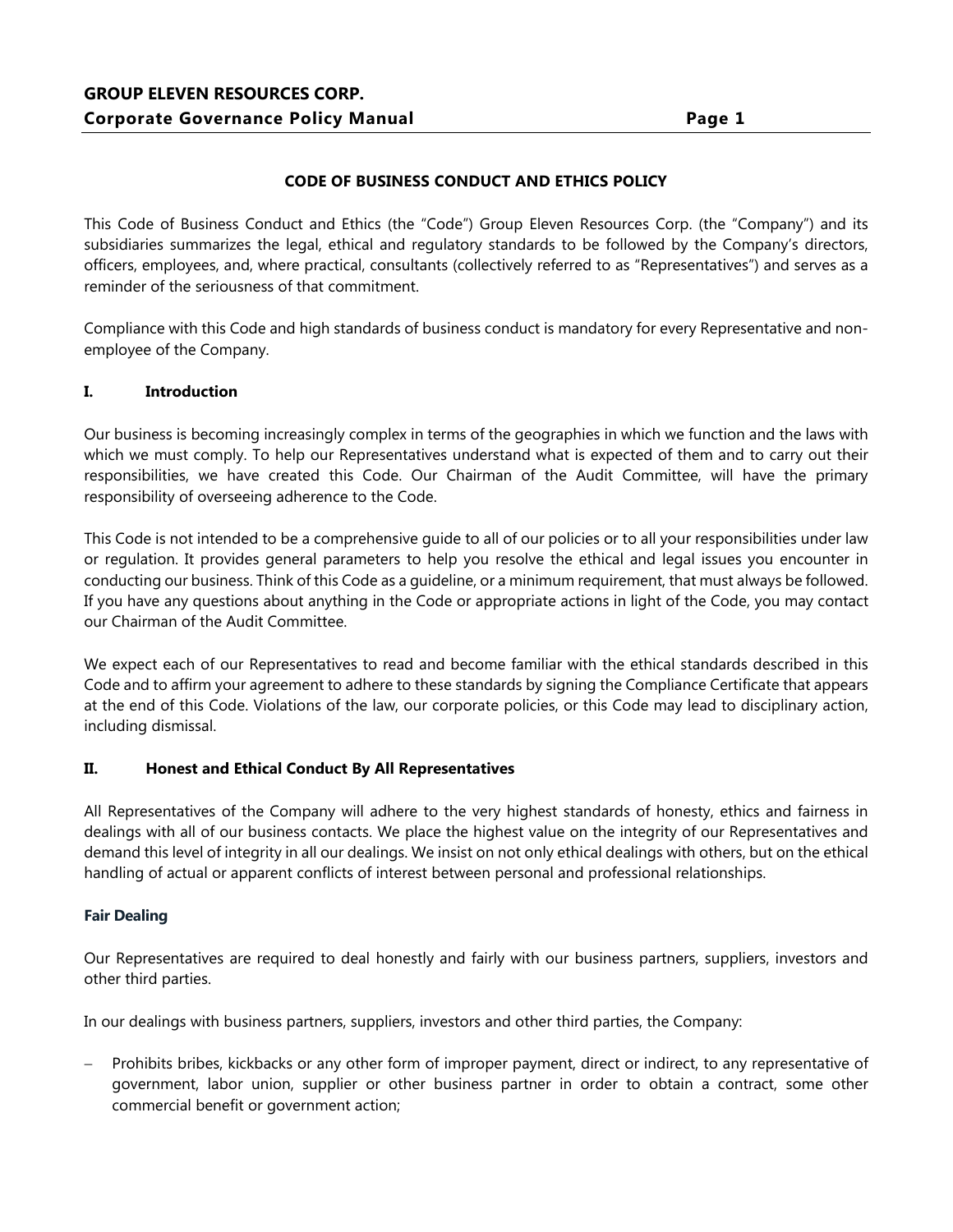## **CODE OF BUSINESS CONDUCT AND ETHICS POLICY**

This Code of Business Conduct and Ethics (the "Code") Group Eleven Resources Corp. (the "Company") and its subsidiaries summarizes the legal, ethical and regulatory standards to be followed by the Company's directors, officers, employees, and, where practical, consultants (collectively referred to as "Representatives") and serves as a reminder of the seriousness of that commitment.

Compliance with this Code and high standards of business conduct is mandatory for every Representative and nonemployee of the Company.

## **I. Introduction**

Our business is becoming increasingly complex in terms of the geographies in which we function and the laws with which we must comply. To help our Representatives understand what is expected of them and to carry out their responsibilities, we have created this Code. Our Chairman of the Audit Committee, will have the primary responsibility of overseeing adherence to the Code.

This Code is not intended to be a comprehensive guide to all of our policies or to all your responsibilities under law or regulation. It provides general parameters to help you resolve the ethical and legal issues you encounter in conducting our business. Think of this Code as a guideline, or a minimum requirement, that must always be followed. If you have any questions about anything in the Code or appropriate actions in light of the Code, you may contact our Chairman of the Audit Committee.

We expect each of our Representatives to read and become familiar with the ethical standards described in this Code and to affirm your agreement to adhere to these standards by signing the Compliance Certificate that appears at the end of this Code. Violations of the law, our corporate policies, or this Code may lead to disciplinary action, including dismissal.

## **II. Honest and Ethical Conduct By All Representatives**

All Representatives of the Company will adhere to the very highest standards of honesty, ethics and fairness in dealings with all of our business contacts. We place the highest value on the integrity of our Representatives and demand this level of integrity in all our dealings. We insist on not only ethical dealings with others, but on the ethical handling of actual or apparent conflicts of interest between personal and professional relationships.

#### **Fair Dealing**

Our Representatives are required to deal honestly and fairly with our business partners, suppliers, investors and other third parties.

In our dealings with business partners, suppliers, investors and other third parties, the Company:

 Prohibits bribes, kickbacks or any other form of improper payment, direct or indirect, to any representative of government, labor union, supplier or other business partner in order to obtain a contract, some other commercial benefit or government action;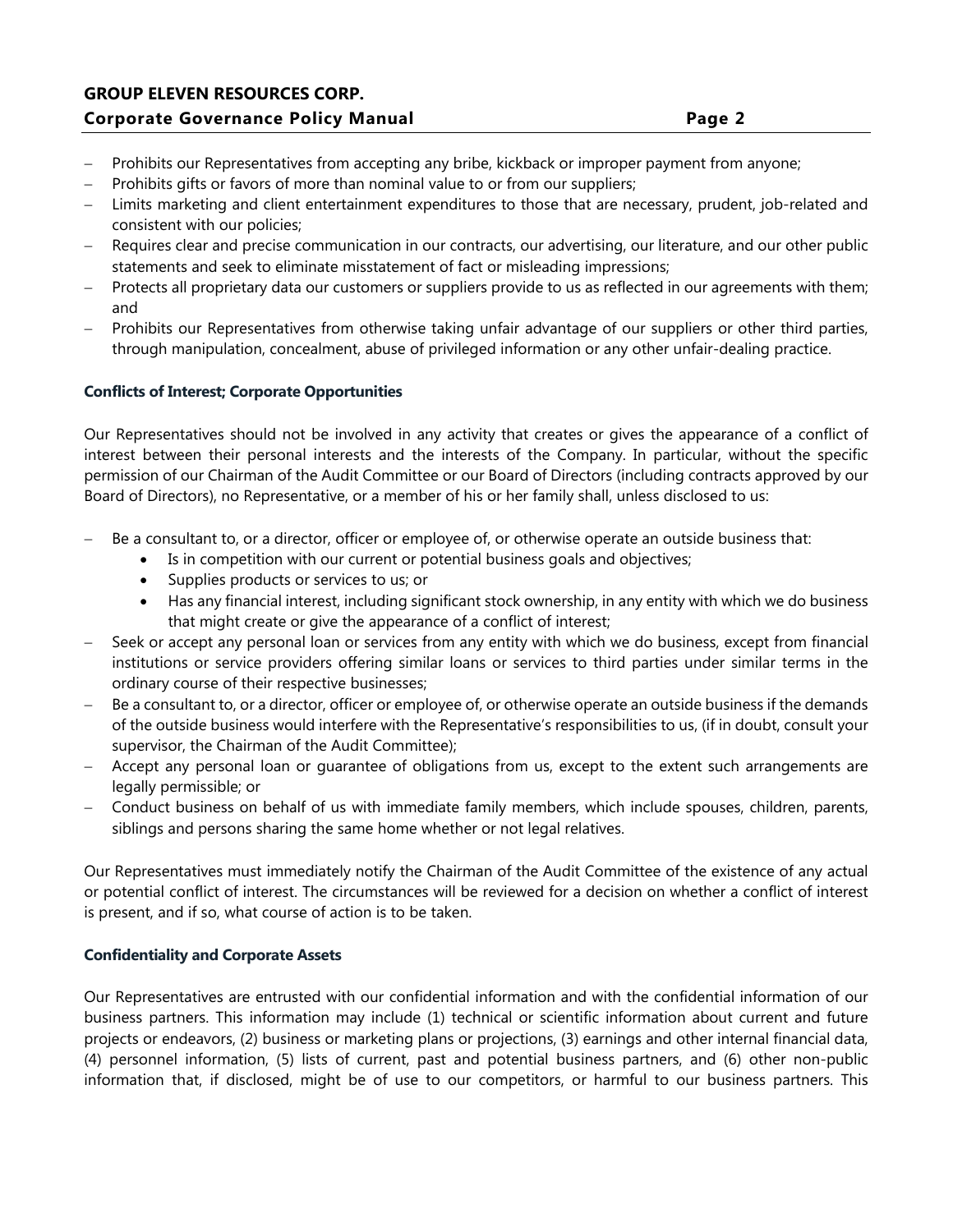# **GROUP ELEVEN RESOURCES CORP. Corporate Governance Policy Manual Page 2**

- Prohibits our Representatives from accepting any bribe, kickback or improper payment from anyone;
- Prohibits gifts or favors of more than nominal value to or from our suppliers;
- Limits marketing and client entertainment expenditures to those that are necessary, prudent, job-related and consistent with our policies;
- Requires clear and precise communication in our contracts, our advertising, our literature, and our other public statements and seek to eliminate misstatement of fact or misleading impressions;
- Protects all proprietary data our customers or suppliers provide to us as reflected in our agreements with them; and
- Prohibits our Representatives from otherwise taking unfair advantage of our suppliers or other third parties, through manipulation, concealment, abuse of privileged information or any other unfair-dealing practice.

## **Conflicts of Interest; Corporate Opportunities**

Our Representatives should not be involved in any activity that creates or gives the appearance of a conflict of interest between their personal interests and the interests of the Company. In particular, without the specific permission of our Chairman of the Audit Committee or our Board of Directors (including contracts approved by our Board of Directors), no Representative, or a member of his or her family shall, unless disclosed to us:

- Be a consultant to, or a director, officer or employee of, or otherwise operate an outside business that:
	- Is in competition with our current or potential business goals and objectives;
	- Supplies products or services to us; or
	- Has any financial interest, including significant stock ownership, in any entity with which we do business that might create or give the appearance of a conflict of interest;
- Seek or accept any personal loan or services from any entity with which we do business, except from financial institutions or service providers offering similar loans or services to third parties under similar terms in the ordinary course of their respective businesses;
- Be a consultant to, or a director, officer or employee of, or otherwise operate an outside business if the demands of the outside business would interfere with the Representative's responsibilities to us, (if in doubt, consult your supervisor, the Chairman of the Audit Committee);
- Accept any personal loan or guarantee of obligations from us, except to the extent such arrangements are legally permissible; or
- Conduct business on behalf of us with immediate family members, which include spouses, children, parents, siblings and persons sharing the same home whether or not legal relatives.

Our Representatives must immediately notify the Chairman of the Audit Committee of the existence of any actual or potential conflict of interest. The circumstances will be reviewed for a decision on whether a conflict of interest is present, and if so, what course of action is to be taken.

## **Confidentiality and Corporate Assets**

Our Representatives are entrusted with our confidential information and with the confidential information of our business partners. This information may include (1) technical or scientific information about current and future projects or endeavors, (2) business or marketing plans or projections, (3) earnings and other internal financial data, (4) personnel information, (5) lists of current, past and potential business partners, and (6) other non-public information that, if disclosed, might be of use to our competitors, or harmful to our business partners. This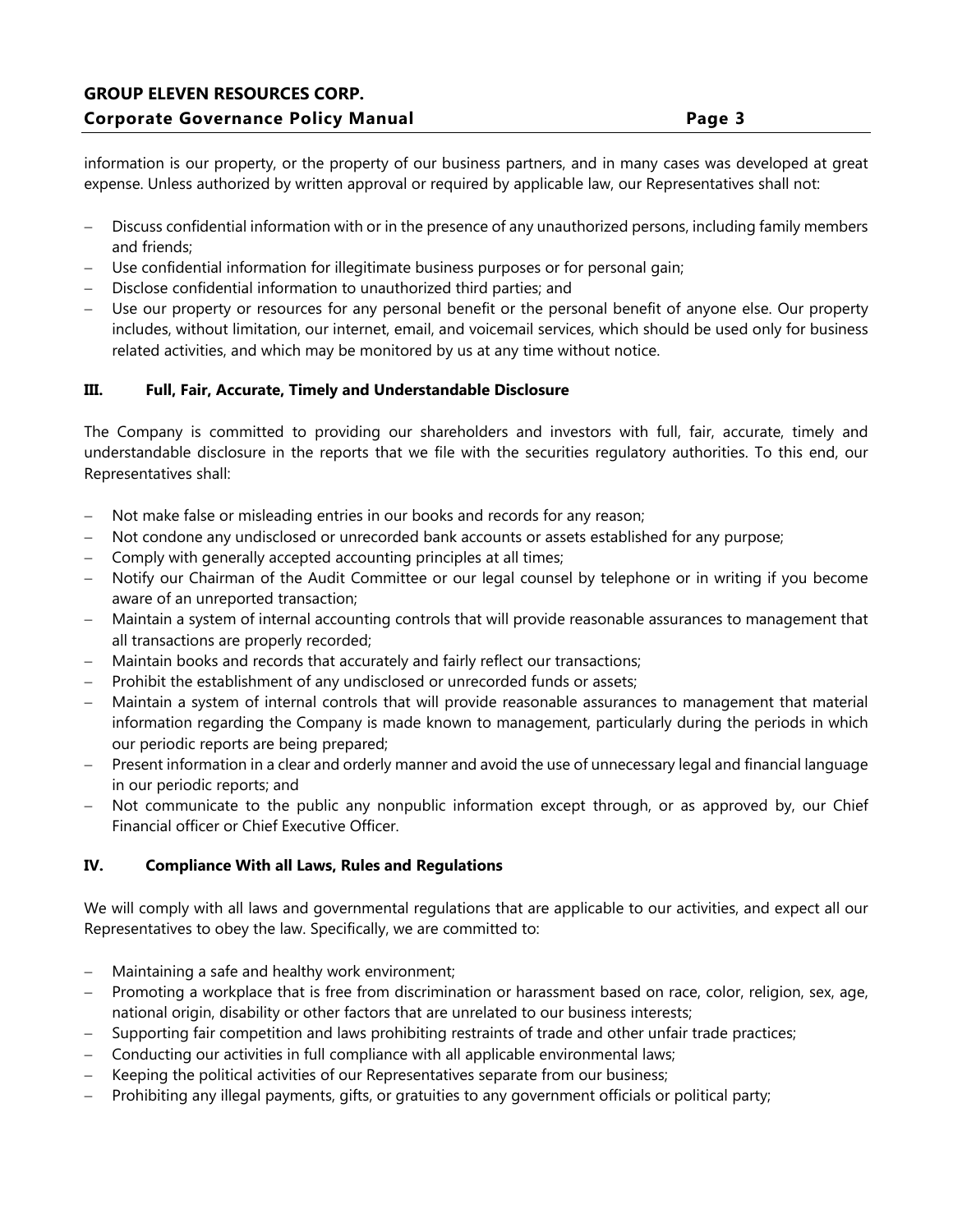information is our property, or the property of our business partners, and in many cases was developed at great expense. Unless authorized by written approval or required by applicable law, our Representatives shall not:

- Discuss confidential information with or in the presence of any unauthorized persons, including family members and friends;
- Use confidential information for illegitimate business purposes or for personal gain;
- Disclose confidential information to unauthorized third parties; and
- Use our property or resources for any personal benefit or the personal benefit of anyone else. Our property includes, without limitation, our internet, email, and voicemail services, which should be used only for business related activities, and which may be monitored by us at any time without notice.

# **III. Full, Fair, Accurate, Timely and Understandable Disclosure**

The Company is committed to providing our shareholders and investors with full, fair, accurate, timely and understandable disclosure in the reports that we file with the securities regulatory authorities. To this end, our Representatives shall:

- Not make false or misleading entries in our books and records for any reason;
- Not condone any undisclosed or unrecorded bank accounts or assets established for any purpose;
- Comply with generally accepted accounting principles at all times;
- Notify our Chairman of the Audit Committee or our legal counsel by telephone or in writing if you become aware of an unreported transaction;
- Maintain a system of internal accounting controls that will provide reasonable assurances to management that all transactions are properly recorded;
- Maintain books and records that accurately and fairly reflect our transactions;
- Prohibit the establishment of any undisclosed or unrecorded funds or assets;
- Maintain a system of internal controls that will provide reasonable assurances to management that material information regarding the Company is made known to management, particularly during the periods in which our periodic reports are being prepared;
- Present information in a clear and orderly manner and avoid the use of unnecessary legal and financial language in our periodic reports; and
- Not communicate to the public any nonpublic information except through, or as approved by, our Chief Financial officer or Chief Executive Officer.

## **IV. Compliance With all Laws, Rules and Regulations**

We will comply with all laws and governmental regulations that are applicable to our activities, and expect all our Representatives to obey the law. Specifically, we are committed to:

- Maintaining a safe and healthy work environment;
- Promoting a workplace that is free from discrimination or harassment based on race, color, religion, sex, age, national origin, disability or other factors that are unrelated to our business interests;
- Supporting fair competition and laws prohibiting restraints of trade and other unfair trade practices;
- Conducting our activities in full compliance with all applicable environmental laws;
- Keeping the political activities of our Representatives separate from our business;
- Prohibiting any illegal payments, gifts, or gratuities to any government officials or political party;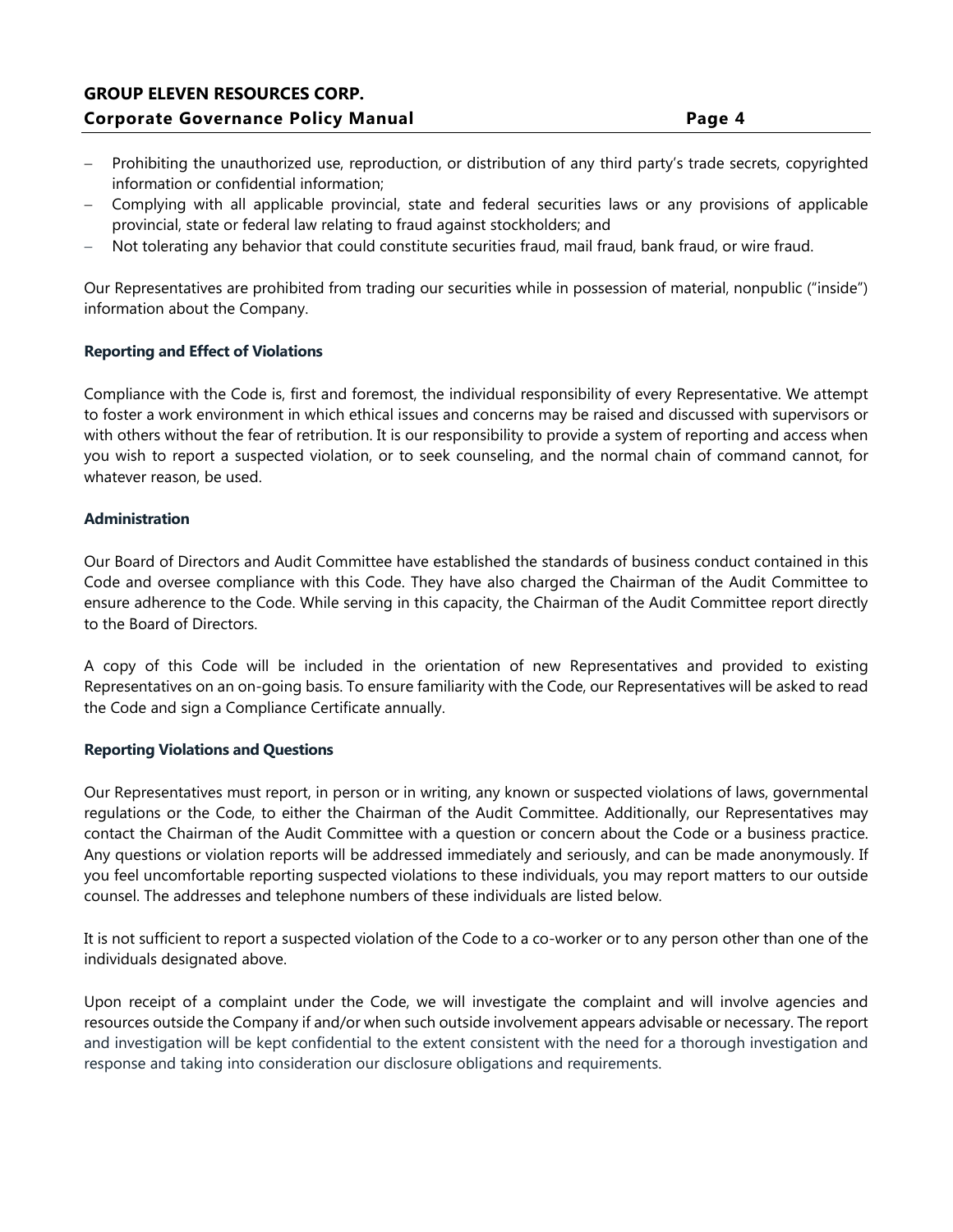# **GROUP ELEVEN RESOURCES CORP. Corporate Governance Policy Manual Page 4**

- Prohibiting the unauthorized use, reproduction, or distribution of any third party's trade secrets, copyrighted information or confidential information;
- Complying with all applicable provincial, state and federal securities laws or any provisions of applicable provincial, state or federal law relating to fraud against stockholders; and
- Not tolerating any behavior that could constitute securities fraud, mail fraud, bank fraud, or wire fraud.

Our Representatives are prohibited from trading our securities while in possession of material, nonpublic ("inside") information about the Company.

#### **Reporting and Effect of Violations**

Compliance with the Code is, first and foremost, the individual responsibility of every Representative. We attempt to foster a work environment in which ethical issues and concerns may be raised and discussed with supervisors or with others without the fear of retribution. It is our responsibility to provide a system of reporting and access when you wish to report a suspected violation, or to seek counseling, and the normal chain of command cannot, for whatever reason, be used.

#### **Administration**

Our Board of Directors and Audit Committee have established the standards of business conduct contained in this Code and oversee compliance with this Code. They have also charged the Chairman of the Audit Committee to ensure adherence to the Code. While serving in this capacity, the Chairman of the Audit Committee report directly to the Board of Directors.

A copy of this Code will be included in the orientation of new Representatives and provided to existing Representatives on an on-going basis. To ensure familiarity with the Code, our Representatives will be asked to read the Code and sign a Compliance Certificate annually.

#### **Reporting Violations and Questions**

Our Representatives must report, in person or in writing, any known or suspected violations of laws, governmental regulations or the Code, to either the Chairman of the Audit Committee. Additionally, our Representatives may contact the Chairman of the Audit Committee with a question or concern about the Code or a business practice. Any questions or violation reports will be addressed immediately and seriously, and can be made anonymously. If you feel uncomfortable reporting suspected violations to these individuals, you may report matters to our outside counsel. The addresses and telephone numbers of these individuals are listed below.

It is not sufficient to report a suspected violation of the Code to a co-worker or to any person other than one of the individuals designated above.

Upon receipt of a complaint under the Code, we will investigate the complaint and will involve agencies and resources outside the Company if and/or when such outside involvement appears advisable or necessary. The report and investigation will be kept confidential to the extent consistent with the need for a thorough investigation and response and taking into consideration our disclosure obligations and requirements.